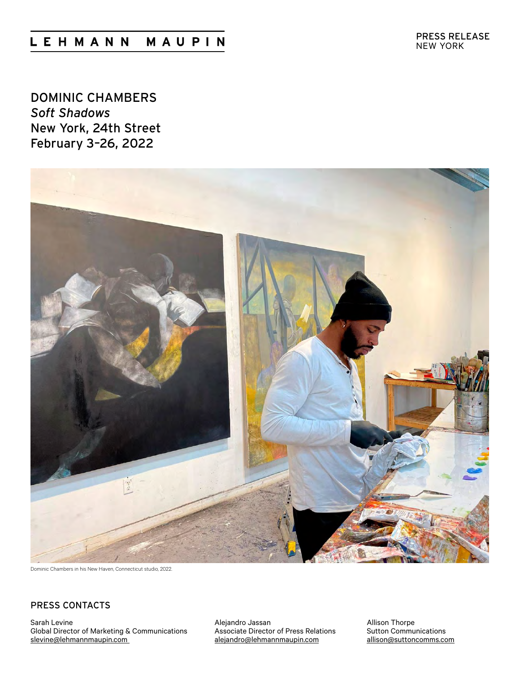# LEHMANN MAUPIN

DOMINIC CHAMBERS *Soft Shadows* New York, 24th Street February 3–26, 2022



Dominic Chambers in his New Haven, Connecticut studio, 2022.

# [P](mailto:allison%40suttoncomms.com?subject=Lehmann%20Maupin%3A%20Do%20Ho%20Suh)RESS CONTACTS

Sarah Levine Global Director of Marketing & Communications [slevine@lehmannmaupin.com](mailto:slevine%40lehmannmaupin.com?subject=)

Alejandro Jassan Associate Director of Press Relations [alejandro@lehmannmaupin.com](mailto:alejandro%40lehmannmaupin.com?subject=)

Allison Thorpe Sutton Communications allison@suttoncomms.com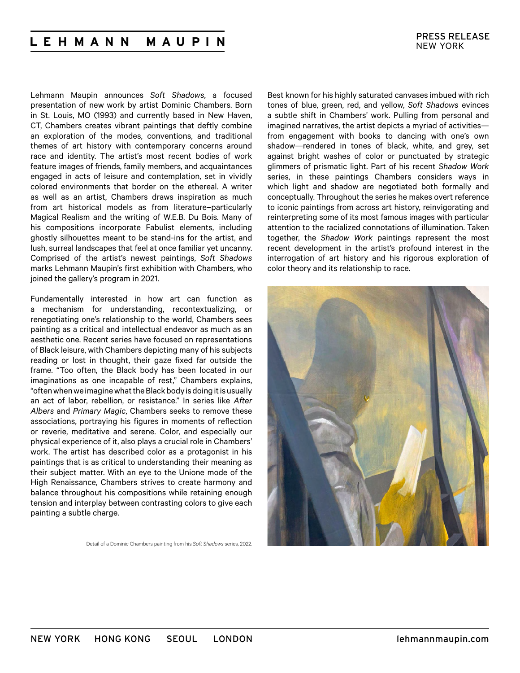#### **LEHMANN** MAUPIN

Lehmann Maupin announces *Soft Shadows*, a focused presentation of new work by artist Dominic Chambers. Born in St. Louis, MO (1993) and currently based in New Haven, CT, Chambers creates vibrant paintings that deftly combine an exploration of the modes, conventions, and traditional themes of art history with contemporary concerns around race and identity. The artist's most recent bodies of work feature images of friends, family members, and acquaintances engaged in acts of leisure and contemplation, set in vividly colored environments that border on the ethereal. A writer as well as an artist, Chambers draws inspiration as much from art historical models as from literature–particularly Magical Realism and the writing of W.E.B. Du Bois. Many of his compositions incorporate Fabulist elements, including ghostly silhouettes meant to be stand-ins for the artist, and lush, surreal landscapes that feel at once familiar yet uncanny. Comprised of the artist's newest paintings, *Soft Shadows* marks Lehmann Maupin's first exhibition with Chambers, who joined the gallery's program in 2021.

Fundamentally interested in how art can function as a mechanism for understanding, recontextualizing, or renegotiating one's relationship to the world, Chambers sees painting as a critical and intellectual endeavor as much as an aesthetic one. Recent series have focused on representations of Black leisure, with Chambers depicting many of his subjects reading or lost in thought, their gaze fixed far outside the frame. "Too often, the Black body has been located in our imaginations as one incapable of rest," Chambers explains, "often when we imagine what the Black body is doing it is usually an act of labor, rebellion, or resistance." In series like *After Albers* and *Primary Magic*, Chambers seeks to remove these associations, portraying his figures in moments of reflection or reverie, meditative and serene. Color, and especially our physical experience of it, also plays a crucial role in Chambers' work. The artist has described color as a protagonist in his paintings that is as critical to understanding their meaning as their subject matter. With an eye to the Unione mode of the High Renaissance, Chambers strives to create harmony and balance throughout his compositions while retaining enough tension and interplay between contrasting colors to give each painting a subtle charge.

Detail of a Dominic Chambers painting from his *Soft Shadows* series, 2022.

Best known for his highly saturated canvases imbued with rich tones of blue, green, red, and yellow, *Soft Shadows* evinces a subtle shift in Chambers' work. Pulling from personal and imagined narratives, the artist depicts a myriad of activities from engagement with books to dancing with one's own shadow—rendered in tones of black, white, and grey, set against bright washes of color or punctuated by strategic glimmers of prismatic light. Part of his recent *Shadow Work* series, in these paintings Chambers considers ways in which light and shadow are negotiated both formally and conceptually. Throughout the series he makes overt reference to iconic paintings from across art history, reinvigorating and reinterpreting some of its most famous images with particular attention to the racialized connotations of illumination. Taken together, the *Shadow Work* paintings represent the most recent development in the artist's profound interest in the interrogation of art history and his rigorous exploration of color theory and its relationship to race.

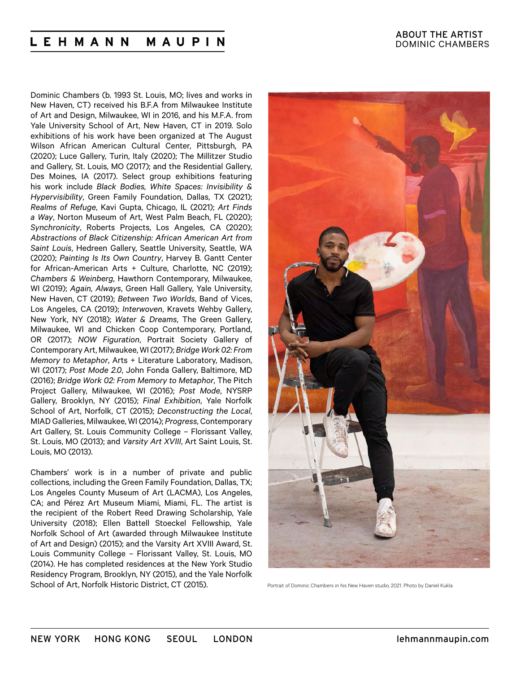#### L E H M A N N MAUPIN

Dominic Chambers (b. 1993 St. Louis, MO; lives and works in New Haven, CT) received his B.F.A from Milwaukee Institute of Art and Design, Milwaukee, WI in 2016, and his M.F.A. from Yale University School of Art, New Haven, CT in 2019. Solo exhibitions of his work have been organized at The August Wilson African American Cultural Center, Pittsburgh, PA (2020); Luce Gallery, Turin, Italy (2020); The Millitzer Studio and Gallery, St. Louis, MO (2017); and the Residential Gallery, Des Moines, IA (2017). Select group exhibitions featuring his work include *Black Bodies, White Spaces: Invisibility & Hypervisibility*, Green Family Foundation, Dallas, TX (2021); *Realms of Refuge*, Kavi Gupta, Chicago, IL (2021); *Art Finds a Way*, Norton Museum of Art, West Palm Beach, FL (2020); *Synchronicity*, Roberts Projects, Los Angeles, CA (2020); *Abstractions of Black Citizenship: African American Art from Saint Louis*, Hedreen Gallery, Seattle University, Seattle, WA (2020); *Painting Is Its Own Country*, Harvey B. Gantt Center for African-American Arts + Culture, Charlotte, NC (2019); *Chambers & Weinberg*, Hawthorn Contemporary, Milwaukee, WI (2019); *Again, Always*, Green Hall Gallery, Yale University, New Haven, CT (2019); *Between Two Worlds*, Band of Vices, Los Angeles, CA (2019); *Interwoven*, Kravets Wehby Gallery, New York, NY (2018); *Water & Dreams*, The Green Gallery, Milwaukee, WI and Chicken Coop Contemporary, Portland, OR (2017); *NOW Figuration*, Portrait Society Gallery of Contemporary Art, Milwaukee, WI (2017); *Bridge Work 02: From Memory to Metaphor*, Arts + Literature Laboratory, Madison, WI (2017); *Post Mode 2.0*, John Fonda Gallery, Baltimore, MD (2016); *Bridge Work 02: From Memory to Metaphor*, The Pitch Project Gallery, Milwaukee, WI (2016); *Post Mode*, NYSRP Gallery, Brooklyn, NY (2015); *Final Exhibition*, Yale Norfolk School of Art, Norfolk, CT (2015); *Deconstructing the Local*, MIAD Galleries, Milwaukee, WI (2014); *Progress*, Contemporary Art Gallery, St. Louis Community College – Florissant Valley, St. Louis, MO (2013); and *Varsity Art XVIII*, Art Saint Louis, St. Louis, MO (2013).

Chambers' work is in a number of private and public collections, including the Green Family Foundation, Dallas, TX; Los Angeles County Museum of Art (LACMA), Los Angeles, CA; and Pérez Art Museum Miami, Miami, FL. The artist is the recipient of the Robert Reed Drawing Scholarship, Yale University (2018); Ellen Battell Stoeckel Fellowship, Yale Norfolk School of Art (awarded through Milwaukee Institute of Art and Design) (2015); and the Varsity Art XVIII Award, St. Louis Community College – Florissant Valley, St. Louis, MO (2014). He has completed residences at the New York Studio Residency Program, Brooklyn, NY (2015), and the Yale Norfolk School of Art, Norfolk Historic District, CT (2015).



Portrait of Dominic Chambers in his New Haven studio, 2021. Photo by Daniel Kukla